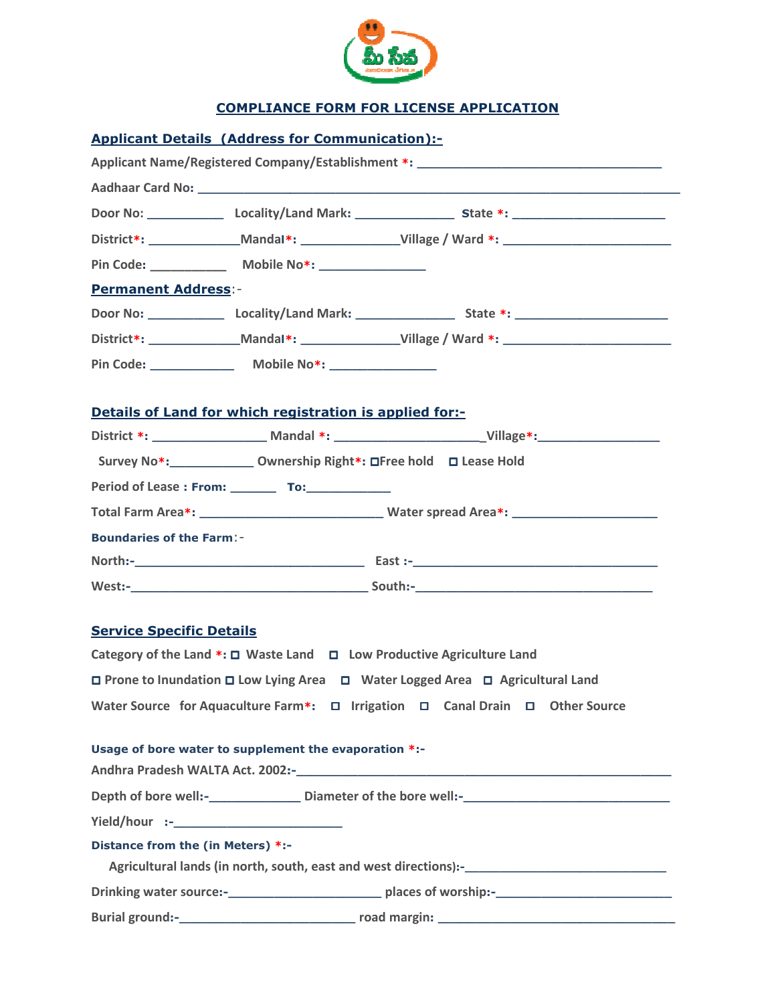

## COMPLIANCE FORM FOR LICENSE APPLICATION

| <b>Applicant Details (Address for Communication):-</b>                                               |
|------------------------------------------------------------------------------------------------------|
| Applicant Name/Registered Company/Establishment *: ______________________________                    |
|                                                                                                      |
|                                                                                                      |
| District*: _________________Mandal*: _____________________Village / Ward *: ________________________ |
|                                                                                                      |
| <b>Permanent Address:-</b>                                                                           |
|                                                                                                      |
| District*: _________________Mandal*: ____________________Village / Ward *: _________________________ |
|                                                                                                      |
| Details of Land for which registration is applied for:-                                              |
|                                                                                                      |
| Survey No*: _______________ Ownership Right*: □Free hold □ Lease Hold                                |
| Period of Lease : From: __________ To: _______________                                               |
|                                                                                                      |
| <b>Boundaries of the Farm:-</b>                                                                      |
|                                                                                                      |
|                                                                                                      |
| <b>Service Specific Details</b>                                                                      |
| Category of the Land *: □ Waste Land □ Low Productive Agriculture Land                               |
| $\Box$ Prone to Inundation $\Box$ Low Lying Area $\Box$ Water Logged Area $\Box$ Agricultural Land   |
| Water Source for Aquaculture Farm*: □ Irrigation □ Canal Drain □ Other Source                        |
| Usage of bore water to supplement the evaporation *:-                                                |
|                                                                                                      |
| Depth of bore well:-___________________Diameter of the bore well:-__________________________________ |
|                                                                                                      |
| Distance from the (in Meters) *:-                                                                    |
|                                                                                                      |
|                                                                                                      |
|                                                                                                      |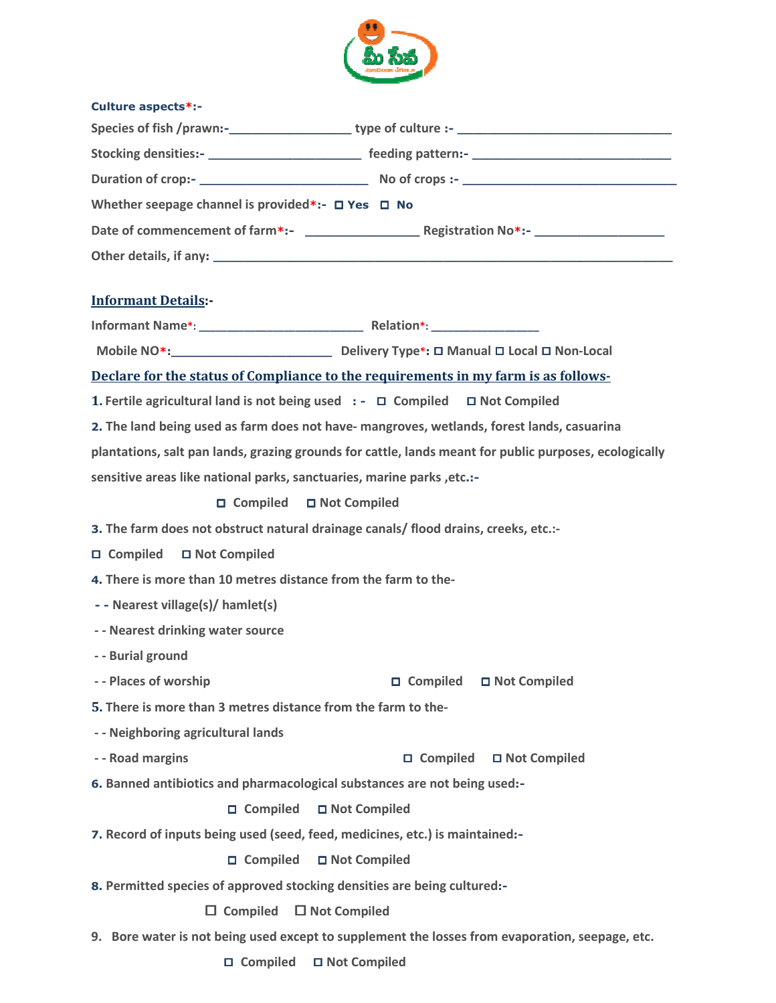

| <b>Culture aspects*:-</b>                                                                                                                                                                                                      |
|--------------------------------------------------------------------------------------------------------------------------------------------------------------------------------------------------------------------------------|
|                                                                                                                                                                                                                                |
|                                                                                                                                                                                                                                |
|                                                                                                                                                                                                                                |
| Whether seepage channel is provided*:- $\Box$ Yes $\Box$ No                                                                                                                                                                    |
|                                                                                                                                                                                                                                |
| Other details, if any: example and a series of the series of the series of the series of the series of the series of the series of the series of the series of the series of the series of the series of the series of the ser |
|                                                                                                                                                                                                                                |
| <b>Informant Details</b>                                                                                                                                                                                                       |
|                                                                                                                                                                                                                                |
|                                                                                                                                                                                                                                |
| Declare for the status of Compliance to the requirements in my farm is as follows-                                                                                                                                             |
| 1. Fertile agricultural land is not being used $\cdot$ - $\Box$ Compiled $\Box$ Not Compiled                                                                                                                                   |
| 2. The land being used as farm does not have- mangroves, wetlands, forest lands, casuarina                                                                                                                                     |
| plantations, salt pan lands, grazing grounds for cattle, lands meant for public purposes, ecologically                                                                                                                         |
| sensitive areas like national parks, sanctuaries, marine parks, etc.:-                                                                                                                                                         |
| □ Compiled □ Not Compiled                                                                                                                                                                                                      |
| 3. The farm does not obstruct natural drainage canals/ flood drains, creeks, etc.:-                                                                                                                                            |
| □ Compiled<br>□ Not Compiled                                                                                                                                                                                                   |
| 4. There is more than 10 metres distance from the farm to the-                                                                                                                                                                 |
| - - Nearest village(s)/ hamlet(s)                                                                                                                                                                                              |
| - - Nearest drinking water source                                                                                                                                                                                              |
| - - Burial ground                                                                                                                                                                                                              |
| - - Places of worship<br>□ Compiled<br>□ Not Compiled                                                                                                                                                                          |
| 5. There is more than 3 metres distance from the farm to the-                                                                                                                                                                  |
| - - Neighboring agricultural lands                                                                                                                                                                                             |
| - - Road margins<br>□ Compiled □ Not Compiled                                                                                                                                                                                  |
| 6. Banned antibiotics and pharmacological substances are not being used:-                                                                                                                                                      |
| □ Compiled □ Not Compiled                                                                                                                                                                                                      |
| 7. Record of inputs being used (seed, feed, medicines, etc.) is maintained:-                                                                                                                                                   |
| □ Compiled □ Not Compiled                                                                                                                                                                                                      |
| 8. Permitted species of approved stocking densities are being cultured:-                                                                                                                                                       |
| $\Box$ Not Compiled<br>$\Box$ Compiled                                                                                                                                                                                         |
| 9. Bore water is not being used except to supplement the losses from evaporation, seepage, etc.                                                                                                                                |
| □ Compiled □ Not Compiled                                                                                                                                                                                                      |